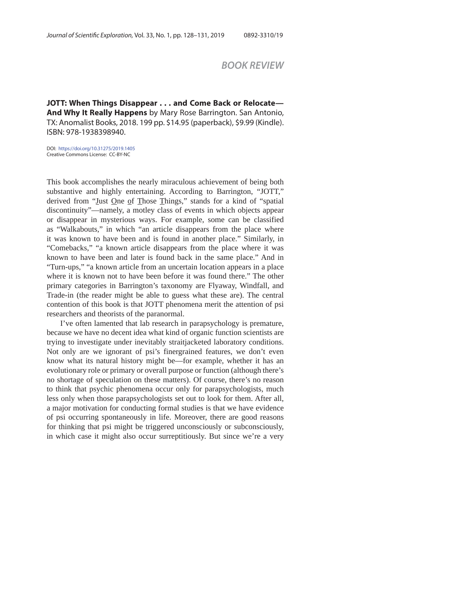## *BOOK REVIEW*

**JOTT: When Things Disappear . . . and Come Back or Relocate— And Why It Really Happens** by Mary Rose Barrington. San Antonio, TX: Anomalist Books, 2018. 199 pp. \$14.95 (paperback), \$9.99 (Kindle). ISBN: 978-1938398940.

DOI: https://doi.org/10.31275/2019.1405 Creative Commons License: CC-BY-NC

This book accomplishes the nearly miraculous achievement of being both substantive and highly entertaining. According to Barrington, "JOTT," derived from "Iust One of Those Things," stands for a kind of "spatial discontinuity"—namely, a motley class of events in which objects appear or disappear in mysterious ways. For example, some can be classified as "Walkabouts," in which "an article disappears from the place where it was known to have been and is found in another place." Similarly, in "Comebacks," "a known article disappears from the place where it was known to have been and later is found back in the same place." And in "Turn-ups," "a known article from an uncertain location appears in a place where it is known not to have been before it was found there." The other primary categories in Barrington's taxonomy are Flyaway, Windfall, and Trade-in (the reader might be able to guess what these are). The central contention of this book is that JOTT phenomena merit the attention of psi researchers and theorists of the paranormal.

I've often lamented that lab research in parapsychology is premature, because we have no decent idea what kind of organic function scientists are trying to investigate under inevitably straitjacketed laboratory conditions. Not only are we ignorant of psi's finergrained features, we don't even know what its natural history might be—for example, whether it has an evolutionary role or primary or overall purpose or function (although there's no shortage of speculation on these matters). Of course, there's no reason to think that psychic phenomena occur only for parapsychologists, much less only when those parapsychologists set out to look for them. After all, a major motivation for conducting formal studies is that we have evidence of psi occurring spontaneously in life. Moreover, there are good reasons for thinking that psi might be triggered unconsciously or subconsciously, in which case it might also occur surreptitiously. But since we're a very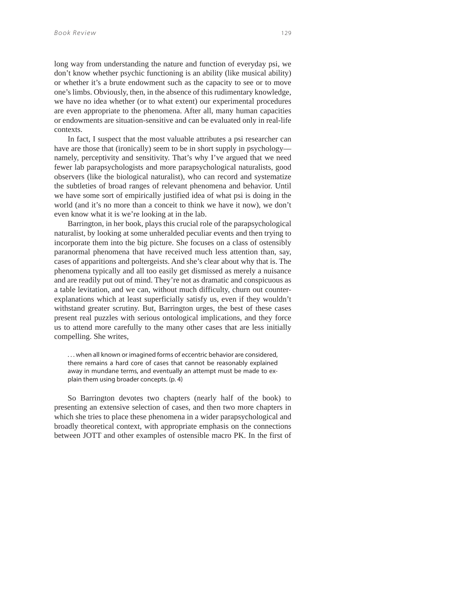long way from understanding the nature and function of everyday psi, we don't know whether psychic functioning is an ability (like musical ability) or whether it's a brute endowment such as the capacity to see or to move one's limbs. Obviously, then, in the absence of this rudimentary knowledge, we have no idea whether (or to what extent) our experimental procedures are even appropriate to the phenomena. After all, many human capacities or endowments are situation-sensitive and can be evaluated only in real-life contexts.

In fact, I suspect that the most valuable attributes a psi researcher can have are those that (ironically) seem to be in short supply in psychology namely, perceptivity and sensitivity. That's why I've argued that we need fewer lab parapsychologists and more parapsychological naturalists, good observers (like the biological naturalist), who can record and systematize the subtleties of broad ranges of relevant phenomena and behavior. Until we have some sort of empirically justified idea of what psi is doing in the world (and it's no more than a conceit to think we have it now), we don't even know what it is we're looking at in the lab.

Barrington, in her book, plays this crucial role of the parapsychological naturalist, by looking at some unheralded peculiar events and then trying to incorporate them into the big picture. She focuses on a class of ostensibly paranormal phenomena that have received much less attention than, say, cases of apparitions and poltergeists. And she's clear about why that is. The phenomena typically and all too easily get dismissed as merely a nuisance and are readily put out of mind. They're not as dramatic and conspicuous as a table levitation, and we can, without much difficulty, churn out counterexplanations which at least superficially satisfy us, even if they wouldn't withstand greater scrutiny. But, Barrington urges, the best of these cases present real puzzles with serious ontological implications, and they force us to attend more carefully to the many other cases that are less initially compelling. She writes,

. . . when all known or imagined forms of eccentric behavior are considered, there remains a hard core of cases that cannot be reasonably explained away in mundane terms, and eventually an attempt must be made to explain them using broader concepts. (p. 4)

So Barrington devotes two chapters (nearly half of the book) to presenting an extensive selection of cases, and then two more chapters in which she tries to place these phenomena in a wider parapsychological and broadly theoretical context, with appropriate emphasis on the connections between JOTT and other examples of ostensible macro PK. In the first of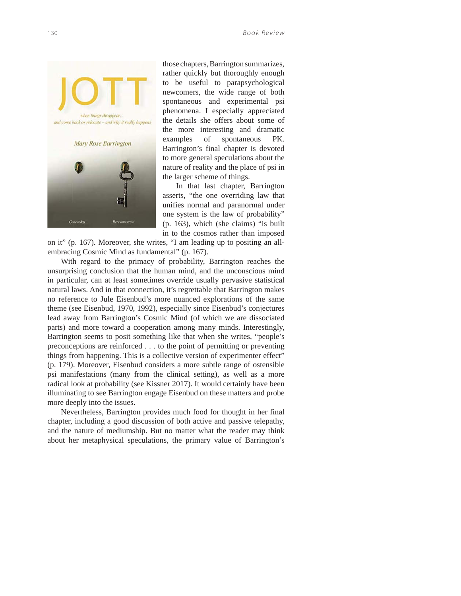

those chapters, Barrington summarizes, rather quickly but thoroughly enough to be useful to parapsychological newcomers, the wide range of both spontaneous and experimental psi phenomena. I especially appreciated the details she offers about some of the more interesting and dramatic examples of spontaneous PK. Barrington's final chapter is devoted to more general speculations about the nature of reality and the place of psi in the larger scheme of things.

In that last chapter, Barrington asserts, "the one overriding law that unifies normal and paranormal under one system is the law of probability" (p. 163), which (she claims) "is built in to the cosmos rather than imposed

on it" (p. 167). Moreover, she writes, "I am leading up to positing an allembracing Cosmic Mind as fundamental" (p. 167).

With regard to the primacy of probability, Barrington reaches the unsurprising conclusion that the human mind, and the unconscious mind in particular, can at least sometimes override usually pervasive statistical natural laws. And in that connection, it's regrettable that Barrington makes no reference to Jule Eisenbud's more nuanced explorations of the same theme (see Eisenbud, 1970, 1992), especially since Eisenbud's conjectures lead away from Barrington's Cosmic Mind (of which we are dissociated parts) and more toward a cooperation among many minds. Interestingly, Barrington seems to posit something like that when she writes, "people's preconceptions are reinforced . . . to the point of permitting or preventing things from happening. This is a collective version of experimenter effect" (p. 179). Moreover, Eisenbud considers a more subtle range of ostensible psi manifestations (many from the clinical setting), as well as a more radical look at probability (see Kissner 2017). It would certainly have been illuminating to see Barrington engage Eisenbud on these matters and probe more deeply into the issues.

Nevertheless, Barrington provides much food for thought in her final chapter, including a good discussion of both active and passive telepathy, and the nature of mediumship. But no matter what the reader may think about her metaphysical speculations, the primary value of Barrington's